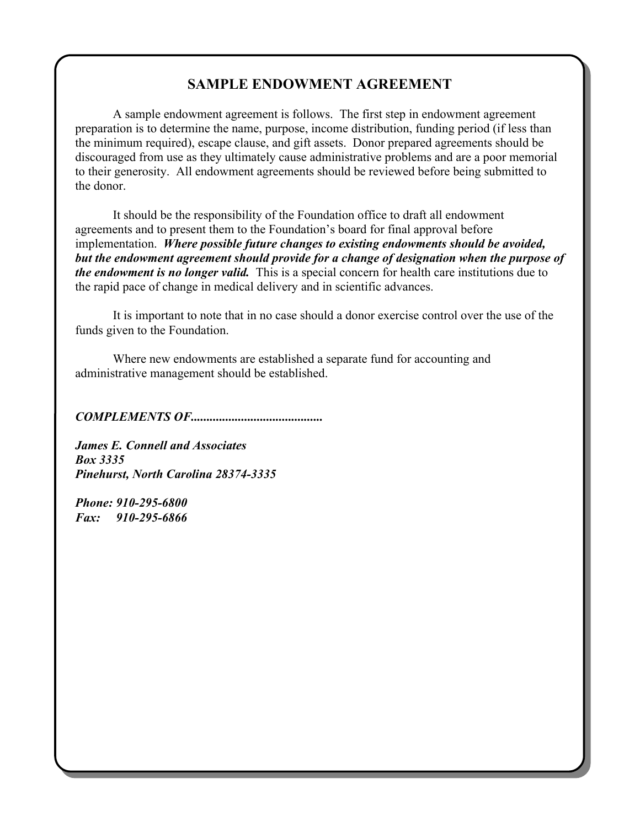## **SAMPLE ENDOWMENT AGREEMENT**

A sample endowment agreement is follows. The first step in endowment agreement preparation is to determine the name, purpose, income distribution, funding period (if less than the minimum required), escape clause, and gift assets. Donor prepared agreements should be discouraged from use as they ultimately cause administrative problems and are a poor memorial to their generosity. All endowment agreements should be reviewed before being submitted to the donor.

It should be the responsibility of the Foundation office to draft all endowment agreements and to present them to the Foundation's board for final approval before implementation. *Where possible future changes to existing endowments should be avoided, but the endowment agreement should provide for a change of designation when the purpose of the endowment is no longer valid.* This is a special concern for health care institutions due to the rapid pace of change in medical delivery and in scientific advances.

It is important to note that in no case should a donor exercise control over the use of the funds given to the Foundation.

Where new endowments are established a separate fund for accounting and administrative management should be established.

*COMPLEMENTS OF..........................................*

*James E. Connell and Associates Box 3335 Pinehurst, North Carolina 28374-3335*

*Phone: 910-295-6800 Fax: 910-295-6866*